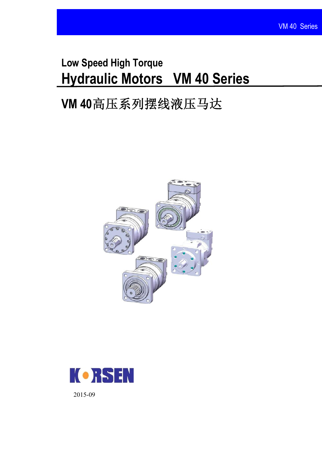# **Low Speed High Torque Hydraulic Motors VM 40 Series**

# **VM 40**高压系列摆线液压马达





2015-09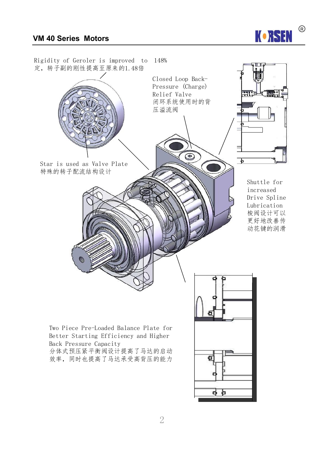

 $\bigcirc$ 

**K•RSEN**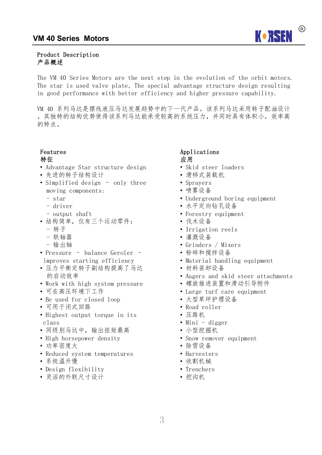

#### Product Description 产品概述

The VM 40 Series Motors are the next step in the evolution of the orbit motors. The star is used valve plate, The special advantage structure design resulting in good performance with better efficiency and higher pressure capability.

VM 40 系列马达是摆线液压马达发展趋势中的下一代产品。该系列马达采用转子配油设计 ,其独特的结构优势使得该系列马达能承受较高的系统压力,并同时具有体积小,效率高 的特点。

#### Features 特征

- Advantage Star structure design
- 先进的转子结构设计
- Simplified design only three moving components:
	- star
	- driver
	- output shaft
- 结构简单,仅有三个运动零件:
	- 转子
	- 联轴器
	- 输出轴
- Pressure balance Geroler improves starting efficiency
- 压力平衡定转子副结构提高了马达 的启动效率
- Work with high system pressure
- 可在高压环境下工作
- Be used for closed loop
- 可用于闭式回路
- Highest output torque in its class
- 同级别马达中,输出扭矩最高
- High horsepower density
- 功率密度大
- Reduced system temperatures
- 系统温升慢
- Design flexibility
- 灵活的外联尺寸设计

#### Applications 应用

- Skid steer loaders
- 滑移式装载机
- Sprayers
- 喷雾设备
- Underground boring equipment
- 水平定向钻孔设备
- Forestry equipment
- 伐木设备
- Irrigation reels
- 灌溉设备
- Grinders / Mixers
- 粉碎和搅拌设备
- Material handling equipment
- 材料装卸设备
- Augers and skid steer attachments
- 螺旋推进装置和滑动引导附件
- Large turf care equipment
- 大型草坪护理设备
- Road roller
- 压路机
- Mini digger
- 小型挖掘机
- Snow remover equipment
- 除雪设备
- Harvesters
- 收割机械
- Trenchers
- 挖沟机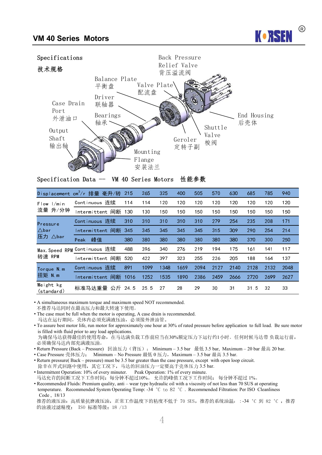



Specification Data -- VM 40 Series Motors 性能参数

|                         | Displacement cm <sup>3</sup> /r 排量 毫升/转 | 215  | 265             | 325  | 400  | 505  | 570  | 630  | 685  | 785  | 940  |
|-------------------------|-----------------------------------------|------|-----------------|------|------|------|------|------|------|------|------|
| $Flow$ $1/m$ in         | Continuous 连续                           | 114  | 114             | 120  | 120  | 120  | 120  | 120  | 120  | 120  | 120  |
| 流量 升/分钟                 | Intermittent 间断                         | 130  | 130             | 150  | 150  | 150  | 150  | 150  | 150  | 150  | 150  |
| Pressure                | Continuous 连续                           | 310  | 310             | 310  | 310  | 310  | 279  | 254  | 235  | 208  | 171  |
| $\triangle$ bar         | Intermittent 间断 345                     |      | 345             | 345  | 345  | 345  | 315  | 309  | 290  | 254  | 214  |
| 压力<br>$\triangle$ bar   | 峰值<br>Peak                              | 380  | 380             | 380  | 380  | 380  | 380  | 380  | 370  | 300  | 250  |
|                         | Max. Speed RPM Continuous 连续            | 488  | 396             | 340  | 276  | 219  | 194  | 175  | 161  | 141  | 117  |
| 转速 RPM                  | Intermittent 间断                         | 520  | 422             | 397  | 323  | 255  | 226  | 205  | 188  | 164  | 137  |
| Torque N.m.             | Continuous 连续                           | 891  | 1099            | 1348 | 1659 | 2094 | 2127 | 2140 | 2128 | 2132 | 2048 |
| 扭矩 N m                  | Intermittent 间断                         | 1016 | 1252            | 1535 | 1890 | 2386 | 2459 | 2666 | 2720 | 2699 | 2627 |
| Weight kg<br>(standard) | 标准马达重量 公斤 24.5                          |      | 25 <sub>5</sub> | 27   | 28   | 29   | 30   | 31   | 31.5 | 32   | 33   |

• A simultaneous maximum torque and maximum speed NOT recommended. 不推荐马达同时在最高压力和最大转速下使用。

• The case must be full when the motor is operating, A case drain is recommended. 马达在运行期间,壳体内必须充满液压油,必须接外泄油管。

• To assure best motor life, run motor for approximately one hour at 30% of rated pressure before application to full load. Be sure motor is filled with fluid prior to any load applications. 为确保马达获得最佳的使用寿命,在马达满负载工作前应当在30%额定压力下运行约1小时。任何时候马达带负载运行前, 必须确保马达内部充满液压油。

• Return Pressure (Back – Pressure) 回油压力(背压): Minimum – 3.5 bar 最低 3.5 bar, Maximum – 20 bar 最高 20 bar.

• Case Pressure 壳体压力: Minimum – No Pressure 最低 0 压力, Maximum – 3.5 bar 最高 3.5 bar.

• Return pressure( Back – pressure) must be 3.5 bar greater than the case pressure, except with open loop circuit. 除非在开式回路中使用, 其它工况下, 马达的回油压力一定要高于壳体压力 3.5 bar.

• Intermittent Operation: 10% of every minuter. Peak Operation: 1% of every minute. 马达允许的间断工况下工作时间: 每分钟不超过10%。 允许的峰值工况下工作时间: 每分钟不超过1%。

• Recommended Fluids: Premium quality, anti – wear type hydraulic oil with a viscosity of not less than 70 SUS at operating temperature. Recommended System Operating Temp: -34 °C to 82 °C. Recommended Filtration: Per ISO Cleanliness Code , 18/13

推荐的液压油: 高质量抗磨液压油,正常工作温度下的粘度不低于 70 SUS,推荐的系统油温: :-34 ℃ 到 82 ℃ ,推荐 的油液过滤精度: ISO 标准等级:18 /13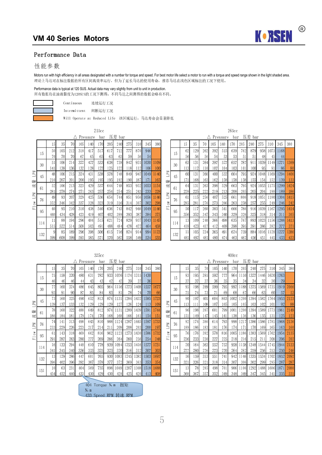

#### Performance Data

### 性能参数

Motors run with high efficiency in all areas designated with a number for torque and speed. For best motor life select a motor to run with a torque and speed range shown in the light shaded area. 理论上马达可在标注数据的所有区间高效率运行,但为了延长马达的使用寿命,推荐马达在浅色区域标注的工况下使用。

#### Performance data is typical at 120 SUS. Actual data may vary slightly from unit to unit in production. 所有数据均在油液黏度为120SUS的工况下测得,不同马达之间测得的数据会略有不同。

Continuous 连续运行工况

| Intermittent | 间断运行工况 |
|--------------|--------|
|--------------|--------|

Will Operate at Reduced Life 该区域运行,马达寿命会显著降低

 $215cc$   $265cc$ △ Pressure bar 压差 bar

|                        |     |     |            |      |     | 1100010 | vu. | , <u>. .</u> | vu.  |     |     |      |      |
|------------------------|-----|-----|------------|------|-----|---------|-----|--------------|------|-----|-----|------|------|
|                        |     | 15  | 35         | 70   | 105 | 140     | 170 | 205          | 240  | 275 | 310 | 345  | 380  |
|                        | 15  | 50  | 105        | 212  | 318 | 417     | 517 | 617          | 712  | 777 | 870 | 946  |      |
|                        |     | 70  | 70         | 70   | 67  | 65      | 65  | 63           | 63   | 59  | 56  | 54   |      |
|                        | 30  | 51  | 106        | 214  | 322 | 427     | 533 | 638          | 738  | 842 | 931 | 1030 | 1109 |
|                        |     | 141 | 138        | 136  | 132 | 128     | 127 | 125          | 122  | 118 | 112 | 106  | 100  |
| <b>NdT</b>             | 45  | 48  | 106        | 215  | 324 | 431     | 538 | 578          | 748  | 849 | 947 | 1049 | 1140 |
| 릨                      |     | 210 | 207        | 201  | 200 | 195     | 195 | 195          | 192  | 190 | 187 | 17   | 165  |
| 流                      | 61  | 52  | 106        | 213  | 323 | 429     | 537 | 644          | 748  | 853 | 952 | 1053 | 1154 |
|                        |     | 281 | 278        | 274  | 271 | 263     | 257 | 254          | 254  | 251 | 243 | 233  | 228  |
| <b>Nd<sup>1</sup>1</b> | 76  | 49  | 93         | 207  | 329 | 425     | 536 | 654          | 744  | 851 | 956 | 1056 | 1146 |
| ៓                      |     | 352 | 346        | 342  | 337 | 328     | 323 | 319          | 316  | 314 | 307 | 302  | 298  |
| 릍                      | 95  | 40  | 95         | 210  | 310 | 438     | 540 | 636          | 743  | 842 | 946 | 1049 | 1146 |
|                        |     | 440 | 434        | 428  | 423 | 419     | 407 | 402          | 399  | 393 | 387 | 384  | 375  |
|                        | 114 | 11  | 88         | 194  | 296 | 404     | 515 | 621          | 724  | 829 | 937 | 043  | 1145 |
|                        |     | 515 | 522        | 514  | 508 | 503     | 491 | 488          | 484  | 478 | 472 | 464  | 458  |
|                        | 132 | 9   | 85         | 189  | 296 | 398     | 506 | 615          | 716  | 824 | 914 | 994  | 1123 |
|                        |     | 599 | <b>GOR</b> | 5.99 | 593 | 585     | 571 | 570          | 5621 | 558 | 549 | 534  | 535  |

|     |     | Λ   |      | Pressure | bar |      | 压差 bar |     |       |       |       |                                                          |     |     |     |     | $\triangle$ Pressure |     | bar  | 压差             | bar  |      |       |      |      |
|-----|-----|-----|------|----------|-----|------|--------|-----|-------|-------|-------|----------------------------------------------------------|-----|-----|-----|-----|----------------------|-----|------|----------------|------|------|-------|------|------|
| 15  | 35  | 701 | 105  | 140      | 70  | 205  | 240    | 275 | 310   | 345   | 380   |                                                          |     | 15  | 35  | 70  | 105                  | 140 | 170  | 205            | 240  | 275  | 310   | 345  | 380  |
| 50  | 105 | 212 | 318  | 417      | 517 | 617  | 712    | 777 | 870   | 946   |       |                                                          | 15  | 62  | 129 | 262 | 392                  | 515 | 639  | 762            | 879  | 9581 | 10731 | 1168 |      |
| 70  | 70  | 701 | 67   | 65       | 65  | 63   | 63     | 59  | 56    | 54    |       |                                                          |     | 56  | 56  | 56  | 54                   | 53  | 53   | 5 <sub>1</sub> | 51   | 48   | 45I   | 44   |      |
| 51  | 106 | 214 | 322  | 427      | 533 | 638  | 738    | 842 | 931   | 10301 | 109   |                                                          | 30  | 63  | 131 | 264 | 397                  | 527 | 657  | 787            | 911  | 039  | 49    | 1271 |      |
| 141 | 138 | 136 | 132  | 128      | 127 | 1251 | 122    | 118 |       | 106   | 100   |                                                          |     | 113 | .12 | .10 | 107                  | .04 | 103  | 101            | 100  | 95   | 91    | 86   | 80   |
| 48  | 106 | 215 | 324  | 431      | 538 | 578  | 748    | 849 | 9471  | 1049  | 1140  | ≍<br>$\mathrel{\triangle}\,$<br>$\overline{\phantom{0}}$ | 45  | 60  | 131 | 266 | 400                  | 532 | 664  | 795            | 924  | .048 | 1691  | 1294 |      |
| 210 | 207 | 201 | 200  | 195      | 195 | 195  | 192    | 190 | 187 I | 171   | 165   | 때뻐                                                       |     | 171 | 168 | 163 | 162                  | 158 | 158  | 158            | 1551 | 154  | 1521  | 139  |      |
| 52  | 106 | 213 | 323  | 429      | 537 | 644  | 748    | 853 | 9521  | 10531 | 1154  | 狺                                                        | 61  | 64  | 131 | 263 | 398                  | 529 | 663  | 795            | 924  | .053 | 1751  | 1299 |      |
| 281 | 278 | 274 | 271  | 263      | 257 | 254  | 254    | 251 | 2431  | 233   | 228   | ×                                                        |     | 228 | 225 | 222 | 219                  | 213 | 208  | 205            | 205  | 204  | 1981  | 189  | 186  |
| 49  | 93  | 207 | 329  | 425      | 536 | 654  | 744    | 851 | 9561  | 10561 | l 146 | ≏.<br>⊐                                                  | 76  | 61  | 115 | 256 | 407                  | 525 | 661  | 806            | 918  | 05   | 1801  | 1304 |      |
| 352 | 346 | 342 | 337  | 328      | 323 | 319  | 316    | 314 | 307   | 302   | 298   | 통                                                        |     | 285 | 281 | 276 | 273                  | 266 | 263  | 258            | 2571 | 255  | 2491  | 246  | 242  |
| 40  | 95  | 210 | 310  | 438      | 540 | 636  | 743    | 842 | 9461  | 1049  | .146  | ⊣<br>ĹL,                                                 | 95  | 50  | 117 | 260 | 383                  | 541 | 666  | 786            | 916  | 039  | 167   | 1295 |      |
| 440 | 434 | 428 | 423  | 419      | 407 | 402  | 399    | 393 | 3871  | 384   | 375   |                                                          |     | 356 | 352 | 347 | 343                  | 340 | 329  | 326            | 325  | 318  | 31    | 311  | 305  |
|     | 88  | 194 | 2961 | 404      | 515 | 621  | 724    | 829 | 9371  | 10431 |       |                                                          | 114 | 13  | 109 | 240 | 366                  | 498 | 635  | 767            | 893  | 1023 | 156   | 1288 |      |
| 515 | 522 | 514 | 508  | 503      | 491 | 488  | 484    | 478 |       | 464   | 458   |                                                          |     | 418 | 423 |     | 412                  | 408 | 398  | 395            | 391  | 386  | 382   | 377  | 37   |
|     | 85  | 189 | 296  | 398      | 506 | 615  | (16)   | 824 | 914   | 994   | 1123  |                                                          | 132 |     | 105 | 234 | 365                  | 491 | 624  | 759            | 884  | 1016 | 128   | 1227 | 1386 |
| 599 | 608 | 599 | 593  | 585      | 51  | 570  | 562    | 558 | 5491  | 534   | 535   |                                                          |     | 485 | 192 | 485 | 480                  |     | 4631 | 4621           | 4561 | 45   | 4451  | 433  | 433  |

|         |     |      |      |     |     | Pressure | bar  |     | 压差 bar |       |      |      |      |                                 |     |      |     |     |     | Pressure | bar  |       | 压差 bar |  |
|---------|-----|------|------|-----|-----|----------|------|-----|--------|-------|------|------|------|---------------------------------|-----|------|-----|-----|-----|----------|------|-------|--------|--|
|         |     | 15   | 35   | 70  | 105 | 140      | 170  | 205 | 240    | 275   | 310  | 345  | 380  |                                 |     | 15   | 35  | 70  | 105 | 140      | 170  | 205   | 240    |  |
|         | 15  | 75   | 158  | 320 | 480 | 631      | 7821 | 933 | 10761  | 174   | 1315 | 1430 |      |                                 | 15  | 93   | 195 | 395 | 592 | 777      | 964  | 1150  | 1327   |  |
|         |     | 46   | 46   | 46  | 44  | 43       | 43   | 42  |        | 39    | 37   | 36   |      |                                 |     |      | 37  | 37  | 36  | 35       | 35   | 34    | 34     |  |
|         | 30  | 77   | 160  | 324 | 486 | 645      | 805  | 964 | 116    | 1273  | 1408 | 1557 | 1677 |                                 | 30  | 95   | 198 | 399 | 599 | 795      | 992  | 188   | 1375   |  |
|         |     | 93   | 91   | 90  | 87  | 85       | 84   | 83  | 81     | 78    | 74   | 70   | -66  |                                 |     | 751  | 74  | 73  | 71  | 69       | 68   | 67    | 66     |  |
|         | 45  | 73   | 160  | 325 | 490 | 652      | 813  | 874 | 131    | 1284  | 1432 | 1585 |      |                                 | 45  | 90   | 197 | 401 | 604 | 803      | 1002 | 1200  | 1394   |  |
| ΣĀ      |     | 1391 | 137  | 133 | 132 | 129      | 129  | 129 | 127    | 126   | 124  | 113  | 109  | ΣĀ                              |     | 13   | 111 | 108 | 107 | 105      | 105  | 105   | 103    |  |
| 뺴       | 61  | 78   | 160  | 322 | 488 | 649      | 812  | 974 | 131    | 12891 | 1439 | 1591 | 1744 | 빼                               | 61  | 96   | 198 | 397 | 601 | 799      | 100  | 1200  | 1394   |  |
| 逅       |     | 186  | 184  | 181 | 179 | 174      | 170  | 168 | 168    | 166   | 161  | 154  | 151  | 嫣                               |     | 151. | 149 | 147 | 145 | 141      | 138  | 136   | 136    |  |
|         | 76  | 741  | 141. | 313 | 498 | 643      | 810  | 988 | 124    | 1287  | 1445 | 1597 | 1733 |                                 | 76  | 92   | 174 | 386 | 614 | 793      | 9981 | 1217  | 1386   |  |
| ΣÄ<br>⊐ |     | 233  | 229  | 226 | 223 | 217      | 214  | 211 | 209    | 208   | 203  | 200  | 197  | ΣÄ<br>Ľ,                        |     | 1891 | 186 | 183 | 181 | 1761     | 174  | 171   | 170    |  |
| Flow    | 95  | 61   | 143  | 318 | 469 | 662      | 816  | 962 | 123    | 1273  | 1430 | 1586 | 1732 | ៓                               | 95  | 76   | 176 | 392 | 578 | 816      | 1005 | 1186  | 1383   |  |
|         |     | 291  | 287  | 283 | 280 | 277      | 269  | 266 | 264    | 260   | 2561 | 254  | 248  | $\overline{\phantom{0}}$<br>ĹΕ. |     | 236  | 233 | 230 | 227 | 225      | 218  | 216   | 215    |  |
|         |     | 16   | 133  | 294 | 448 | 610      | 778  | 939 | 1094   | 1253  | 1416 | 1577 | 173  |                                 |     | 20   | 164 | 363 | 552 | 752      | 9581 | 1158  | 1348   |  |
|         | 114 | 341  | 345  | 340 | 336 | 333      | 325  | 323 | 320    | 316   | 312  | 307  | 303  |                                 | 114 | 277  | 280 | 276 | 273 | 270      | 264  | 262   | 259    |  |
|         |     | 13   | 1291 | 286 | 447 | 601      | 765  | 930 | 10831  | 1245  | 1382 | 1503 | 1697 |                                 |     | 16   | 159 | 353 | 551 | 741      | 9421 | ! 146 | 1335   |  |
|         | 132 | 396  | 402  | 396 | 392 | 387      | 378  | 377 | 372    | 369   | 363  | 353  | 354  |                                 | 132 | 321  | 326 | 321 | 318 | 314      | 307  | 306   | 302    |  |
|         |     | 10   | 63   | 231 | 404 | 569      | 735  | 898 | 10491  | 1207  | 1368 | 1518 | 1688 |                                 |     | 13   | 78  | 285 | 498 | 701      | 906  | 1106  | 292    |  |
|         | 151 | 454  | 4521 | 440 | 433 | 430      | 429  | 430 | 428    | 425   | 420  | 413  | 408  |                                 | 151 | 368  | 367 | 357 | 352 | 349      | 348  | 349   | 347    |  |

|                 |     |     |     | Pressure | bar |      | 压无 bar |       |            |                  |                 |                                |     |     |     |     |      | Pressure | bar  |       | 压无 bar    |       |        |                   |              |
|-----------------|-----|-----|-----|----------|-----|------|--------|-------|------------|------------------|-----------------|--------------------------------|-----|-----|-----|-----|------|----------|------|-------|-----------|-------|--------|-------------------|--------------|
| 15              | 35  |     | 105 | 140      |     | 205  |        | 275   |            | 345              | 380             |                                |     |     |     |     | l 05 |          | 170  | 205   | 240       |       | 310    | 345               | 380          |
| 75              | 158 | 320 | 480 | 631      | 782 | 9331 | 1076   | 11741 | 1315       | 1430             |                 |                                |     | 93  | 195 | 395 | 592  |          | 964  | 1150  | 1327      | 14461 | 1620   | 1763              |              |
| 46              | 46  | 46  |     | 43       | 43  | 42   |        | 39    |            | 36               |                 |                                | 15  |     | 37  | 37  | 36   | 35       | 35   |       |           | 32    | 30     | 29                |              |
| 77              | 160 | 324 | 486 | 645      | 805 | 964  | 116    | 12731 | 1408I      | 15571            | 67              |                                | 30  | 95  | 198 | 399 | 599  | 795      | 992  | 188   | 1375      | 5691  | 1735   | 1919              |              |
| 93              | 91  | 90  | 87  | 85       | 84  | 83   | 81     | 78    | 74         | 70               | -66             |                                |     | 751 | 74  | 73  | 71   | 69       | 68   | 67    | -66       | 63    | 60     | 57                | 53           |
| 73              | 160 | 325 | 490 | 652      | 813 | 874  | .1311  | 1284  | 1432I      | 1585             |                 |                                | 45  | 90  | 197 | 401 | 604  | 803      | 1002 | 1200  | 1394      | 15821 | 1764   | 1953              |              |
| 139             | 137 | 133 | 132 | 129      | 129 | 1291 | 127    | 126   | 124        | 113              | 109             | Σ                              |     | 13  |     | 108 | 107  | 105      | 105  | 1051  | 103       | 102   | 101    | 92                | -88          |
| 78              | 160 | 322 | 488 | 649      | 812 | 974  | 11311  | 1289  | 1439       | 1591             | 1744            | 量                              | 61  | 96  | 198 | 397 | 601  | 799      | 1001 |       | 1200 1394 | 1589  | 1773   | 1961              |              |
| 186             | 184 | 181 | 179 | 174      | 170 | 1681 | 168    | 166   | 161        | 154              | 15 <sup>2</sup> | 狺                              |     | 151 | 149 | 147 | 145  | 141      | 138  | 1361  | 136       | 135   | 131    | 125               |              |
| 74              | 141 | 313 | 498 | 643      | 810 | 9881 | 124    | 12871 | 14451      | 1597             | 1733            |                                | 76  | 92  | 174 | 386 | 614  | 793      | 998  | 12171 | 1386      | 1586  | 1781   | 1968 <sup> </sup> |              |
| 233             | 229 | 226 | 223 | 217      | 214 | 211  | 209    | 208   | 2031       | 200 <sup>1</sup> | 197             | ΣĀ<br>$\overline{\phantom{0}}$ |     | 189 | 186 | 183 | 181  | 1761     | 174  |       | 170       | 169   | 165    | 163               | 160          |
| -61             | 143 | 318 | 469 | 6621     | 816 | 962  | 123    | 12731 | 1430       | 1586             | 1732            | ៓                              | 95  | 76  | 176 | 392 | 578  | 816      | 1005 | 1186  | 1383      | 15691 | 17621  | 1954              |              |
| 291             | 287 | 283 | 280 | 277      | 269 | 2661 | 264    | 260   | <b>256</b> | 254              | 248             | ⊸<br>ſт.                       |     | 236 | 233 | 230 | 227  |          | 218  | 216   | 215       | 21    | 208I   | 206 <sup>1</sup>  | $20^{\circ}$ |
| 16              | 133 | 294 | 448 | 610      | 778 | 9391 | 1094   | 1253I | 14161      | 1577             |                 |                                | 114 | 20  | 164 | 363 | 552  | 752      | 958  | 11581 | 1348      | 1544  | 1745 I | 1944              |              |
| 341             | 345 | 340 | 336 | 333      | 325 | 323  | 320    | 316   | 312        | 307              | 303             |                                |     | 277 | 280 | 276 | 273  | 270      | 264  | 262   | 259       | 256   | 253    | 250               | 246          |
| 13              | 129 | 286 | 447 | 601      | 765 | 930L | 1083   | 1245  | 13821      | 1503             | 1691            |                                | 132 | 16  | 159 | 353 | 551  | 741      | 942  | 1146I | 1335      | 1534  | 17021  | 1852              | 2092         |
| 396             | 402 | 396 | 392 | 387      | 378 | 3771 | 372    | 369   | 363        | 353              | 354             |                                |     | 321 | 326 | 321 | 318  | 314      | 307  | 306   | 302       | 299   | 295    | 287               | 28'          |
| 10 <sup>1</sup> | 63  | 231 | 404 | 569      | 735 | 898  | 1049   | 1207  | 1368       | 1518             | 1688            |                                | 151 | 13  | 78  | 285 | 498  | 701      | 906  | 1106  | 292       | .4881 | 1686   | 1871              |              |
| 454             |     | 440 | 433 | 430      | 429 | 430  | 428    | 425   | 4201       | 413              | 408             |                                |     | 368 | 367 | 357 | 352  | 349      | 348  | 349I  | 347       | 345   | 3411   | 335               | 331          |

404 Torque N.m 扭矩 N.m 433 Speed RPM 转速 RPM

 $325c$ c $400c$ c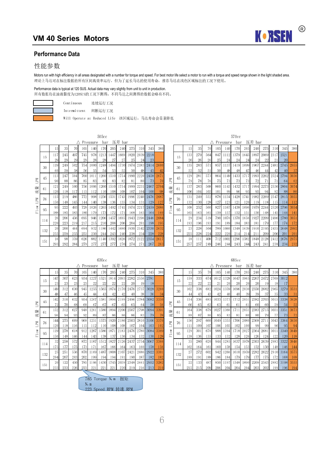

#### **Performance Data**

#### 性能参数

Motors run with high efficiency in all areas designated with a number for torque and speed. For best motor life select a motor to run with a torque and speed range shown in the light shaded area. 理论上马达可在标注数据的所有区间高效率运行,但为了延长马达的使用寿命,推荐马达在浅色区域标注的工况下使用。

#### Performance data is typical at 120 SUS. Actual data may vary slightly from unit to unit in production. 所有数据均在油液黏度为120SUS的工况下测得,不同马达之间测得的数据会略有不同。



Continuous 连续运行工况

Intermittent 间断运行工况

Will Operate at Reduced Life 该区域运行,马达寿命会显著降低

505cc 570cc

|                   |     |             |             |             |              | $\triangle$ Pressure | bar          |              | 压差 bar       |              |              |             |             |                       |     |            |            |            |             | Pressure             | bar          |                       | 压差 bar               |  |
|-------------------|-----|-------------|-------------|-------------|--------------|----------------------|--------------|--------------|--------------|--------------|--------------|-------------|-------------|-----------------------|-----|------------|------------|------------|-------------|----------------------|--------------|-----------------------|----------------------|--|
|                   |     | (5          | 35          | 70          | 105          | 140                  | 170          | 205          | 240          | 275          | 310          | 345         | 380         |                       |     | 15         | 35         | 70         | 105         | 140                  | 170          | 205                   | 240                  |  |
|                   | 15  | 117<br>29   | 245<br>29   | 497<br>29   | 745<br>29    | 978<br>28            | 1213<br>28   | 1447<br>27   | 16691        | 1820<br>25   | 2039<br>24   | 2218<br>23  |             |                       | 15  | 133<br>26  | 279<br>26  | 564<br>26  | 847<br>25   | 112<br>24            | 13791<br>24  | 1645<br>24            | 1897 <br>24          |  |
|                   | 30  | 119<br>60   | 249<br>59   | 502<br>58   | 754<br>56    | 000<br>55            | 248<br>54    | 494<br>53    | 730<br>52    | 1974<br>50   | 2183<br>48   | 2414<br>45  | 2600<br>42  |                       | 30  | 135<br>52  | 283<br>52  | 571<br>51  | 857<br>50   | 137<br>48            | 1419 <br>48  | 699<br>47             | 967<br>46            |  |
| N <sub>d</sub> T1 | 45  | 113<br>90   | 247<br>88   | 504<br>86   | 760<br>85    | 1011<br>83           | 1260<br>83   | 1510<br>83   | 1754)<br>82  | 1990 <br>81  | 2220<br>80   | 2458<br>73  | 2671<br>70  | <b>Nd<sup>1</sup></b> | 45  | 129<br>79  | 281<br>78  | 573<br>76  | 864<br>75   | 149<br>73            | 1433<br>73   | 731                   | 993<br>72            |  |
| 륲<br>滬            | 61  | 121<br>1201 | 249<br>118  | 500         | 756<br>l 15I | 1006<br>12           | 1260<br>l 10 | 1510<br>108  | 1754<br>108  | 1999<br>107  | 2231<br>104I | 2467<br>100 | 2704<br>-98 | 패<br>滬                | 61  | 137<br>106 | 283<br>104 | 568<br>103 | 860<br>101  | .1431<br>99          | 1432<br>96   | 95                    | 1994<br>-95          |  |
| M<br>コ            | 76  | 115<br>150  | 219<br>148  | 486<br>145  | 772<br>144   | 998<br>140           | 256<br>138   | 1531<br>136  | 743 <br>135  | 1996<br>134  | 2240<br>131  | 2476<br>129 | 2687<br>127 | M<br>- 1              | 76  | 131<br>132 | 249<br>130 | 552<br>128 | 878<br>127  | 134<br>123           | 1428<br>121  | 741<br>120            | 1982<br>119          |  |
| Flow              | 95  | 95<br>188   | 222<br>1851 | 493<br>1831 | 728<br>180   | 026<br>179           | 1265<br>1731 | 14921<br>172 | 1741 <br>171 | 1974<br>168  | 2217<br>165  | 2459<br>164 | 2686<br>160 | ă<br>$\overline{a}$   | 95  | 108<br>165 | 252<br>163 | 560<br>161 | 827<br>159  | 1167<br>157          | 1438<br>152  | 1696<br>151           | 1979<br>150          |  |
|                   | 114 | 26<br>220   | 206<br>223  | 456<br>219  | 695<br>217   | 946<br>215           | !206<br>210  | 1457<br>208  | 6951<br>206  | 19431<br>204 | 2196<br>201  | 2446<br>198 | 2684<br>195 |                       | 114 | 29<br>193  | 234<br>196 | 519<br>193 | 7901<br>191 | 1076<br>189          | 13701<br>184 | 1656<br>183           | 1927<br>181          |  |
|                   | 132 | 20<br>255   | 200<br>259  | 444<br>255  | 694<br>253   | 932<br>250           | 186<br>244   | 1442<br>243  | 680<br>240   | 1930<br>238  | 2142<br>234  | 2330<br>228 | 2632<br>228 |                       | 132 | 23<br>225  | 228<br>228 | 504<br>224 | 789<br>222  | 060<br>220           | 1348<br>214  | 1639<br>214           | 1910<br>211          |  |
|                   | 151 | 16<br>2931  | 98<br>292   | 359<br>284  | 626<br>279   | 882<br>2771          | 140<br>277   | 1392         | .626<br>276  | 1872<br>274  | 2122<br>2711 | 2354<br>267 | 2617<br>263 |                       | 151 | 18<br>257  | 111<br>257 | 408<br>249 | 712<br>246  | .002<br>244 <b>1</b> | 1296<br>243I | 1582 <br>244 <b>1</b> | 1848<br>243 <b>1</b> |  |

|     |      |     |              | Pressure | bar  | 压差   | bar   |      |               |                  |      |                |     |     |     |               |                | Pressure | bar   |       | 压差<br>bar |           |                |      |     |
|-----|------|-----|--------------|----------|------|------|-------|------|---------------|------------------|------|----------------|-----|-----|-----|---------------|----------------|----------|-------|-------|-----------|-----------|----------------|------|-----|
| 15  | 35   |     | l ();        | 140      | -70  | 205  | 240   | 275  | 310           | 345              | 380  |                |     |     |     |               | 0 <sub>5</sub> |          | -70   | 205   | 240       | 275       | 310            | 345  | 380 |
| 117 | 245  | 497 | 745          | 978      | 1213 | 1447 | 669   | 1820 | 2039          | 2218             |      |                | 15  | 133 | 279 | 564           | 847            | 112      | 379   | 1645  | 1897      | 2069 2317 |                | 2521 |     |
| 29  | 29   | 29  | 29           | 28       | 28   | 27   |       | 25   |               | 23               |      |                |     | 26  | 26  | 26            | 25             | 24       |       |       | 24        | 22        |                | 20   |     |
| 119 | 2491 | 502 | 754          | 000      | 248  | 494  | .7301 | 974  | 2183          | 2414             | 2600 |                | 30  | 135 | 283 | 57            | 857            | 137      | 4191  | 16991 | 1967      | 2244      | 2481           | 2745 |     |
| 60  | 59   | 58  | 56           | 55       | 54   | 53   | 52    | 50   | 48            | 45               |      |                |     | 52  | 52  | $\frac{5}{1}$ | 50             |          |       |       |           |           | 42             | 40   |     |
| 113 | 247  | 504 | 760          | 1011     | 260  | 1510 | 1754  | 1990 | 2220          | 2458             | 2671 |                | 45  | 129 | 281 | 573           | 864            | 149      | 433   |       | 1993      | 2262      | 2524           | 2794 |     |
| 90  | 88   | 86  | 85           | 83       | 83   | 83   | 82    | 81   | -80           | 73               | 70   | M<br>⊐         |     | 79  | 78  | 76            | 75             | 73       | 73    |       |           |           |                | 64   |     |
| 121 | 249  | 500 | 756          | 1006     | 1260 | 1510 | 1754  | 1999 | 223           | 2467             | 2704 | 패              | 61  | 137 | 283 | 568           | 860            | .1431    | 14321 |       | 1994      | 2273      | 2536 2804      |      |     |
| 120 | 18   |     | $\mathbf{a}$ |          | -10  | 108  | 108   | 107  | 104           | 100 <sup>1</sup> | -98  | 滬              |     | 106 | 104 | 103           | 101            | 99       | 96    | 95    | 95        | 94        | 92             | 88   |     |
| 115 | 219  | 486 | 772          | 998      | 1256 | 1531 | 1743  | 1996 | 2240 <b>1</b> | 2476             | 2687 |                | 76  | 131 | 249 | 552           | 878            | 134      | 428   | 741   | 1982      | 2269      | 2547           | 2815 |     |
| 150 | 148  | 145 | 144          | 140      | 138  | 136  | 135   | 134  | 13            | 129              | 127  | <b>Ndri</b>    |     | 132 | 130 | 128           | 127            | 123      | 121   | 120   | -19       | 118       | 115            | 114  |     |
| 95  | 222  | 493 | 728          | 1026     | 265  | 492  | 74    | 974  | $22^{\circ}$  | 2459             | 2686 | ă              | 95  | 108 | 252 | 560           | 827            | 167      | 438   | 1696  | 979       | 2244      | 2520           | 2796 |     |
| 188 | 185  | 183 | 180          | -79      |      |      |       | -68  | 1651          | 164              | 160  | $\overline{a}$ |     | 165 | 163 | -61           | .59            | 157      | 52    | 151   | 50        | 48        | ה41            | 144  |     |
| 26  | 206  | 456 | 695          | 946      | .206 | 1457 | 1695  | 1943 | 2196          | 2446             | 2684 |                | 114 | 29  | 234 | 519           | 790            | 1076     | 1370  | 1656  | 1927      |           | 2209 2496 2780 |      |     |
| 220 | 223  | 219 |              | 215      | 210  | 208  | 206   | 204  | 201           | 1981             | 195  |                |     | 193 | 196 | 193           | 191            | 189      | 1841  | 183   | 181       |           |                | 174  |     |
| 20  | 200  | 444 | 694          | 932      | 186  | 1442 | 680   | 1930 | 2142          | 2330             | 2632 |                | 132 | 23  | 228 | 504           | 7891           | 060      | 348   | 1639. | 1910      | 21951     | 2435           | 2648 |     |
| 255 | 259  | 255 | 253          | 250      | 244  | 243  | 240   | 238  | 234           | 228              | 228  |                |     | 225 | 228 | 224           | 222            | 220      | 214   |       |           | 209       | 206            | 201  |     |
| 16  | 98   | 359 | 626          | 882      | -40  | 392  | 626   | 872  |               | 2354             | 2617 |                | 151 | 18  |     | 408           |                | 002      | 296   | 1582  | 848       | 2128      | 241            | 2676 |     |
| 293 | 292  | 284 |              |          |      |      |       |      |               | 267              | 263  |                |     | 257 | 257 | 249           | 246            |          | 243   |       | 243       | 24        |                | 234  |     |

|                        |     |      |      |     |      | Pressure | bar  |      | 压差<br>bar |      |      |      |      |
|------------------------|-----|------|------|-----|------|----------|------|------|-----------|------|------|------|------|
|                        |     | 15   | 35   | 70  | 105  | 140      | 170  | 205  | 240       | 275  | 310  | 345  | 380  |
|                        | 15  | 147  | 307  | 623 | 934  | 1227     | 521  | 1814 | 2093      | 2282 | 2556 | 2781 |      |
|                        |     | 23   | 23   | 23  | 23   | 22       | 22   | 22   | 22        | 20   | 19   | 18   |      |
|                        | 30  | 149  | 312  | 630 | 945  | 1255     | 1565 | 1874 | 2170      | 2476 | 2737 | 3028 | 3260 |
|                        |     | 48   | 47   | 46  | 45   | 44       | 43   | 42   | 42        | 40   | 38   | 36   | 34   |
|                        | 45  | 142  | 310  | 632 | 954  | 1267     | 1581 | 1894 | 2199      | 2496 | 2784 | 3082 | 3350 |
| <b>Nd<sup>1</sup>1</b> |     | 72   | 70   | 68  | 68   | 67       | 67   | 67   | 65        | 65   | 64   | 58   | 56   |
| 빼                      | 61  | 152  | 312  | 627 | 948  | 1261     | 580  | 1894 | 2200      | 2507 | 2798 | 3094 | 3391 |
| 流                      |     | 96   | 94   | 93  | 92   | 89       | 87   | 86   | 86        | 86   | 83   | 79   | 78   |
|                        | 76  | 144  | 275  | 609 | 968  | 1251     | 575  | 1920 | 2186      | 2503 | 2810 | 3106 | 3370 |
| <b>Ndr1</b>            |     | 120  | 118  | 116 | 115  | 112      | 110  | 108  | 108       | 107  | 104  | 103  | 102  |
| ð                      | 95  | 119  | 278  | 618 | 912  | 1287     | 1586 | 1871 | 2183      | 2476 | 2780 | 3084 | 3369 |
| $\overline{L}$         |     | 150  | 148  | 146 | 144  | 143      | 138  | 137  | 136       | 134  | 132  | 130  | 128  |
|                        | 114 | 32   | 258  | 572 | 872  | 1187     | 512  | 1827 | 2126      | 2437 | 2754 | 3067 | 3366 |
|                        |     | 175  | 177  | 175 | 173  | 171      | 167  | 166  | 164       | 163  | 160  | 158  | 156  |
|                        | 132 | 25   | 251  | 556 | 870  | 1169     | 1487 | 1808 | 2107      | 2421 | 2686 | 2922 | 3301 |
|                        |     | 204  | 207  | 203 | 202  | 199      | 194  | 194  | 191       | 190  | 187  | 182  | 182  |
|                        | 151 | 20   | 122  | 450 | 785  | 1106     | 430  | 1745 | 2039      | 2348 | 2661 | 2952 | 3282 |
|                        |     | 999. | 999. | 996 | 999. | 991      | 991  | 991  | 990.      | 910  | 91C  | 919  | 910  |

|        |     |     |      |                      | 630cc |      |        |      |      |           |      |                               |     |     |     |     |                      |      | 685cc |              |        |      |      |           |      |
|--------|-----|-----|------|----------------------|-------|------|--------|------|------|-----------|------|-------------------------------|-----|-----|-----|-----|----------------------|------|-------|--------------|--------|------|------|-----------|------|
|        |     |     |      | $\triangle$ Pressure | bar   |      | 压差 bar |      |      |           |      |                               |     |     |     |     | $\triangle$ Pressure |      | bar   |              | 压差 bar |      |      |           |      |
| $\Box$ | 35  |     | 105  | 140                  | 70    | 205  | 240    | 275  | 310  | 345       | 380  |                               |     |     | 35  |     | l 05                 | 40   | 170   | 205          | 240    | 275  | 310  | 345       | 380  |
| 147    | 307 | 623 | 934  | 1227                 | 1521  | 1814 | 2093   | 2282 | 2556 | 2781      |      |                               | 15  | 159 | 333 | 674 | 1012                 | 1328 | 1647  | 1965         | 2267   | 2472 |      | 2769 3012 |      |
| 23     | 23  | 23  | 23   | 22                   | 22    | 22   | 22     | 20   | 19   | 18        |      |                               |     | 22  | 22  | 22  | 21                   | 20   | 20    |              | 20     | 19   | 18   |           |      |
| 149    | 312 | 630 | 945  | 1255                 | 1565  | 1874 | 2170   | 2476 |      | 3028      | 3260 |                               | 30  | 162 | 338 | 682 | 1024                 | 1359 | 1696  | 2030         | 2350   | 2682 |      | 2965 3279 |      |
| 48     | 47  | 46  | 45   | 44                   | 43    | 42   | 42     | 40   | 38   | 36        | -34  |                               |     | 44  | 43  | 43  | 42                   | 40   | 40    | 39           | 39     | 37   | 35   | 33        | -31  |
| 142    | 310 | 632 | 954  | 1267                 | 1581  | 1894 | 2199   | 2496 | 2784 | 3082      | 3350 |                               | 45  | 154 | 336 | 685 | 1033                 | 1373 |       | 2051         | 2382   | 2703 | 3015 | 3338      |      |
| 72     | 70  | 68  | 68   | 67                   | 67    | 67   | 65     | 65   | 64   | 58        | -56  | ΣĀ                            |     | -66 | 65  | 63  | 63                   | 61   | 61    | 6            | -601   | -60  | 59   | 54        | -52  |
| 152    | 312 | 627 | 948  | 1261                 | 1580  | 1894 | 2200   | 2507 | 2798 | 3094      | 3391 | ᄜ                             | 61  | 164 | 338 | 679 | 1027                 | 1366 |       | 2051         | 2383   | 2715 | 3031 | 3351      |      |
| 96     | 94  | 93  | 92   | 89                   | 87    | 86   | 86     | 86   | 83   | <b>79</b> | -78  | 嫣                             |     | 88  | 87  | 86  | 85                   | 83   | 81    | 80           | -801   | 79   |      | 73        |      |
| 144    |     | 609 | 968  | 1251                 | 1575  | 1920 | 2186   | 2503 | 2810 | 3106      | 3370 | $\mathbb{N}$                  | 76  | 156 | 297 | 660 | 1049                 | 1355 | 1706  | 2080         | 2368   | 271  | 3043 | 3364      |      |
| 120    | -18 | 116 | -151 |                      | 10    | 108  | 108    | 107  | 1041 | 103       | -102 | L,                            |     |     | 109 | 107 | 106                  | 103  | 102   | 100          | 99     | 99   | 96   | 95        |      |
| 119    | 278 | 618 |      | 287                  | 1586  | 1871 | 2183   | 2476 | 2780 | 3084      | 3369 | ă<br>$\overline{\phantom{0}}$ | 95  | 129 | 301 | 670 | 988                  | 1394 | 18    | 202          | 2364   | 2681 | 301  | 3340      | 3649 |
| 150    | 148 | 146 | 144  | 143                  | 138   | -137 | 136    | 134  | 132  | 130       | 128  | $\sim$                        |     | 138 | 136 | 135 | 133                  | 132  | 128   | 126          | 1261   | 124  | 1221 | 120       | 118  |
| 32     | 258 | 572 | 872  | 187                  | 1512  | 1827 | 2126   | 2437 | 2754 | 3067      | 3366 |                               | 114 | 35  | 280 | 620 | 944                  | 1285 | 1637  | 1978         | 2303   | 2639 | 2983 | 3322      |      |
| 175    | 177 | 175 | 1731 |                      | 167   | 166  | 164    | 163  | 160  | 158       | -156 |                               |     | 162 | 164 | 161 | 160                  | 158  | 154   | 1531         | 1521   | 150  | 148  | 146       | 144  |
| 25     | 25. | 556 | 870  | 169                  | 1487  | 1808 | 2107   | 2421 | 2686 | 2922      | 3301 |                               | 132 | 27  | 272 | 602 | 942                  | 1266 | 1610  | 1959         | 2282   | 2622 |      | 2910 3164 | 3575 |
| 204    | 207 | 203 | 202  | 199                  | ! 94  | 1941 | 191    | 1901 | 187  | 182       | 182  |                               |     | 188 | 191 | 188 | 186                  | 184  | 179   | 179          |        | 75   | 1721 | 168       | 168  |
| 20     | 122 | 450 | 785  | 106                  | 430   | 1745 | 2039   | 2348 | 2661 | 2952      | 3282 |                               | 151 | 22  | 133 | 487 | 850                  | -97  | 1548  | 1890         | 2209   | 2543 | 2882 | 3198      | 3555 |
| 233    | 233 | 226 | 223  | 221                  | 22    | 221  | 220    | 219  | 216  | 213       | 210  |                               |     |     | 215 | 209 | 206                  | 204  | 204   | 204 <b>1</b> | 203    | 202  | 1991 | 196       | 194  |

流量  $I.PM$ 

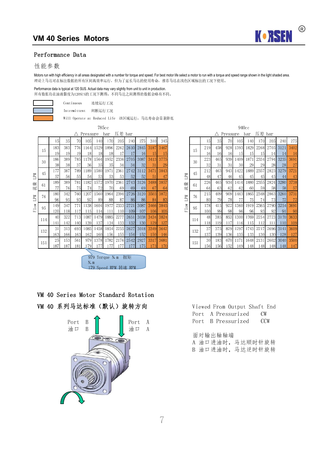

#### Performance Data

#### 性能参数

Motors run with high efficiency in all areas designated with a number for torque and speed. For best motor life select a motor to run with a torque and speed range shown in the light shaded area. 理论上马达可在标注数据的所有区间高效率运行,但为了延长马达的使用寿命,推荐马达在浅色区域标注的工况下使用。

#### Performance data is typical at 120 SUS. Actual data may vary slightly from unit to unit in production. 所有数据均在油液黏度为120SUS的工况下测得,不同马达之间测得的数据会略有不同。



Continuous 连续运行工况

Intermittent 间断运行工况

Will Operate at Reduced Life 该区域运行,马达寿命会显著降低

|                                         |                                    |     |     |      |          |            | 785cc     |        |      |              |                 |      |                               |     |      |     |                      |         | 940cc        |
|-----------------------------------------|------------------------------------|-----|-----|------|----------|------------|-----------|--------|------|--------------|-----------------|------|-------------------------------|-----|------|-----|----------------------|---------|--------------|
|                                         |                                    |     |     |      | Pressure |            | bar       | 压差 bar |      |              |                 |      |                               |     |      |     | $\triangle$ Pressure |         | bai          |
|                                         |                                    | 15  | 35  | 70   | 105      | 140        | 170       | 205    | 240  | 275          | 310             | 345  |                               |     | 15   | 35  | 70                   | 105     | $\mathbf{1}$ |
|                                         | 183<br>15<br>19<br>186<br>30<br>38 | 383 | 776 | 1164 | 1529     | 1896       | 2262      | 2610   | 2845 | 3187         | 3467            |      | 15                            | 219 | 458  | 928 | 1393                 | 18      |              |
|                                         |                                    |     | 19  | 19   | 18       | 18         | 18        | 17     | 17   | 16           | 15 <sup>1</sup> | 15   |                               |     | 16   | 16  | 16                   | 15      |              |
|                                         |                                    |     | 389 | 785  | 1178     | 1564       | 1952      | 2336   | 2705 | 3087         | 3413            | 3775 |                               | 30  | 223  | 465 | 939                  | 1409    | 18           |
| 45<br><b>Nd<sub>1</sub></b><br>流量<br>61 |                                    |     | 38  | 37   | 36       | 35         | 35        | 34     | 34   | 32           | 31              | 29   |                               |     | 32   | 31  | 31                   | 30      |              |
|                                         |                                    | 177 | 387 | 789  | 1189     | 1580       | 1971      | 2361   | 2742 | 3112         | 3471            | 3843 |                               | 45  | 212  | 463 | 943                  | 1422    | 18           |
|                                         |                                    | 57  | 56  | 551  | 54       | 53         | 53        | 53I    | 52   | 52           | 51              | 47   | <b>NdT</b>                    |     | 48   | 47  | 46                   | 45      |              |
|                                         |                                    | 189 | 389 | 781  | 1182     | 1572       | 1970      | 2361   | 2743 | 3126         | 3488            | 3857 |                               | 61  | 226  | 465 | 934                  | 1414    | 18           |
|                                         |                                    | 77  | 76  | 75   | 74       | 72         | 70        | 69     | 69   | 69           | 67              | 64   | 流量                            |     | 64   | 63  | 62                   | 62      |              |
|                                         | 76                                 | 180 | 342 | 760  | 1207     | 1560       | 1964      | 2394   | 2726 | 3120         | 3503            | 3872 |                               | 76  | 215  | 409 | 909                  | 1443    | 18           |
| LPM                                     |                                    | 96  | 95  | 93   | 92       | 89         | 88        | 87     | 86   | 86           | 84              | 83   | <b>Nd7</b>                    |     | 80   | 79  | 78                   | 77      |              |
| Flow                                    | 95                                 | 149 | 347 | 771  | 1138     | 1604       | 1977      | 2333   | 2721 | 3087         | 3466            | 3845 | ैं                            | 95  | 178  | 415 | 922                  | 1360 19 |              |
|                                         |                                    | 120 | 118 | 117  | 115      | 114        | 111       | 110    | 109  | 107          | 106             | 105  | $\rightarrow$<br>$\mathbf{L}$ |     | 100  | 99  | 98                   | 96      |              |
|                                         | 114                                | 40  | 322 | 713  | 1087     | 1479       | 1885      | 2277   | 2651 | 3038         | 3434            | 3824 |                               | 114 | 48   | 385 | 853                  | 1300 17 |              |
|                                         |                                    | 141 | 142 | 140  | 139      | 137        | 134       | 133    | 132  | <b>130</b>   | 129             | 127  |                               |     | 118  | 119 | 117                  | 116     |              |
|                                         | 132                                | 31  | 313 |      | 693 1085 |            | 1458 1854 | 2255   | 2627 | 3018         | 3349            | 3642 |                               | 132 | 37   | 375 | 829                  | 1297 17 |              |
|                                         |                                    | 163 | 166 | 163  | 162      | 160        | 156       | 155    | 154  | 152          | 150             | 146  |                               |     | 137  | 139 | 136                  | 135     | $\mathbf{1}$ |
|                                         | 151                                | 25  | 153 | 561  | 979      | 1378       | .782      | 2176   | 2542 | 2927         | 3317            | 3681 |                               | 151 | 30   | 183 | 670                  | 1171    | 16           |
|                                         |                                    | 187 | 187 | 181  | 1791     | <b>177</b> | 177       | 1771   | 177  | 175 <b>1</b> | 1731            | 170  |                               |     | 1561 | 156 | 152                  | 149 1   |              |

|      | 10000            |      |                      |              |              |                  |              |                |                |      | フエリしし                   |     |     |     |                      |                |      |            |                  |      |                |
|------|------------------|------|----------------------|--------------|--------------|------------------|--------------|----------------|----------------|------|-------------------------|-----|-----|-----|----------------------|----------------|------|------------|------------------|------|----------------|
|      |                  |      | $\triangle$ Pressure |              | bar          | 压差 bar           |              |                |                |      |                         |     |     |     | $\triangle$ Pressure |                | bar  | 压差 bar     |                  |      |                |
| 15   | 35               | 70   | 105                  | 140          | 170          | 205              | 240          | 275            | 310            | 345  |                         |     | 15  | 35  | 70                   | 105            | 140  | 170        | 205              | 240  | 275            |
| 183  | 383              | 776  | 1164                 | 1529         | 1896         | 2262             | 2610         | 2845           | 3187           | 3467 |                         | 15  | 219 | 458 | 928                  | 1393           | 1829 |            | 2268 2705        | 3121 | 3402           |
| 19   | 19               | 19   | 18                   | 18           | 18           |                  |              | 16             | 15             | 15   |                         |     | 16  | 16  | <b>16</b>            | 15             | -15  | 15         |                  | 14   |                |
| 186  | 389              | 785  | 1178                 | 1564I        | 1952         | 2336             | 2705         | 3087           |                |      |                         | 30  | 223 | 465 | 939                  | 1409           | 1871 |            | 2334 2794        | 3235 | 3691           |
| 38   | 38               | 37   | 36                   | 35           | 35           | 34               | 34           | 32             | 31             | 29   |                         |     | 32  | 31  | 31                   | 30             | 29   | 29         | 28               | 28   | -27            |
| 177  | 387              | 789  | 1189                 | 1580         | 1971         | 2361             | 2742         | 3112           | 3471           | 3843 |                         | 45  | 212 | 463 | 943                  | .422           | 1889 | 2357       | 2823             | 3279 | 3721           |
| 57   | 56               | 55   | 54                   | 53           | 53           | 53               | 52           | 52             | 51             | 47   | <b>Nd<sub>1</sub></b>   |     | 48  | 47  | 46                   | 45             | 45   | 45         | 45               | 44   | -43            |
| 189  | 389              | 781  | 1182                 | 1572         |              | 1970 2361        | 2743         | 3126           | 3488           | 3857 |                         | 61  | 226 | 465 | 934                  | !414           | 1880 | 2355       | 2824             | 3280 | 3738           |
| 77   | 76               | 751  | 74                   | 72           | 70           | -691             | 69           | 69             | 67             | -64  | 流量                      |     | 64  | 63  | 62                   | 62             | 60   | 59         | 581              | 58   | - 57           |
| 180  | 342              | 7601 | 1207                 | 1560.        | 1964         | 2394             | 2726         | 3120           | 3503           | 3872 |                         | 76  | 215 | 409 | 909                  | 1443           | 1865 |            | 2348 2863        | 3260 | 3731           |
| 96   | 95               | 93   | 92                   | 89           | 88           | 87               | 86           | 86             | 84             | 83   | <b>NdT</b>              |     | 80  | 79  | 78                   |                | 75   | 74         | 73               | 72   | -72            |
| 149  | 347              | 771  | 1138                 | 16041        | 1977         | 2333             | 2721         | 3087           | 3466           | 3845 | $\overline{\mathbf{c}}$ | 95  | 178 | 415 | 9221                 | 1360           | 1919 | 2365       | 2790             | 3254 | 3691           |
| 120  | 118              | 1171 | 115 <sup> </sup>     | 114          | 1111         | 110              | 109          | 107            | 1061           | 105  | $\overline{r}$          |     | 100 | 99  | 98                   | 96             | 96   | 93         | 92               | 91   | 90             |
| 40   | 322              | 713  | 1087                 |              | 1479 1885    | 2277             | 2651         | 3038           | 3434           | 3824 |                         | 114 | 48  | 385 | 8531                 | 1300           | 1769 | 2254       | 2723             | 3170 | 3633           |
| 141  | 142              | 140  | 139                  | <b>137</b>   | 134          | 133              | 132          | <sup>130</sup> | <sup>129</sup> |      |                         |     | 118 | 119 | 117                  | <sup>116</sup> | 115  | 112        | 111              | 110  | <sup>109</sup> |
| 31   | 313              | 693  | 1085                 |              | 1458 1854    | 2255             | 2627         | 3018           | 3349           | 3642 |                         | 132 | 37  | 375 | 829                  | 1297           | 1743 | 2217       | 2696             | 3141 | 3609           |
| 163  | 166              | 1631 | 162                  | 160 <b>1</b> | 156 <b>1</b> | 155 <sup> </sup> | 154 <b>1</b> | 152            | 150            | 146  |                         |     | 137 | 139 | 136                  | 135 <b>1</b>   | 133  | <b>130</b> | 130 <sup> </sup> | 128  | -127           |
| 25   | 153              | 561  | 9791                 | 1378.        | 1782         | 2176             | 2542         | 2927           | 3317           | 3681 |                         | 151 | 30  | 183 | 6701                 | 1171           | 1648 | 2131       | 2602             | 3040 | 3500           |
| 1871 | 187 <sup>1</sup> | 181  | 1791                 | -1771        | <b>177</b>   | -177 <b>1</b>    | 177 <b>1</b> | 175 <b>1</b>   | $-173$         | 170  |                         |     | 156 | 156 | 152                  | 149            | 148I | - 148      | - 148I           |      | 148 147        |

979 Torque N.m 扭矩 N.m 179 Speed RPM 转速 RPM

## VM 40 Series Motor Standard Rotation

## VM 40 系列马达标准(默认)旋转方向



|  | Viewed From Output Shaft End |       |  |
|--|------------------------------|-------|--|
|  | Port A Pressurized CW        |       |  |
|  | Port – B Pressurized         | - CCW |  |

面对输出轴轴端

- A 油口进油时,马达顺时针旋转
- B 油口进油时,马达逆时针旋转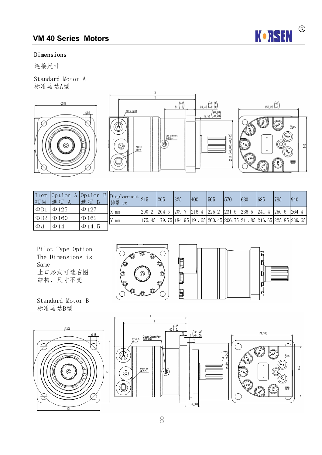

#### Dimensions

连接尺寸

Standard Motor A 标准马达A型





| 项目                    | 选项 A       | 选项 B        | Ttem Option A Option B Displacement 215<br>排量 cc |                                                 | 265 | 325    | 400 | 1505                                  | 1570 | 630 | 685 | 1785          | $ 940\rangle$                                                                            |
|-----------------------|------------|-------------|--------------------------------------------------|-------------------------------------------------|-----|--------|-----|---------------------------------------|------|-----|-----|---------------|------------------------------------------------------------------------------------------|
| $\Phi$ D1             | $\Phi$ 125 | $\Phi$ 127  | mm                                               | $\lfloor 200.2 \rfloor$ $\lfloor 204.5 \rfloor$ |     | 1209.7 |     | 216.4   225.2   231.5   236.5   241.4 |      |     |     | 1250.6 1264.4 |                                                                                          |
| $\Phi$ D <sub>2</sub> | $\Phi$ 160 | $\Phi$ 162  | mm                                               |                                                 |     |        |     |                                       |      |     |     |               | 175. 45  179. 75  184. 95  191. 65  200. 45  206. 75  211. 85  216. 65  225. 85  239. 65 |
| $\Phi$                | $\Phi$ 14  | $\Phi$ 14.5 |                                                  |                                                 |     |        |     |                                       |      |     |     |               |                                                                                          |

E

 $\blacksquare$ 

目

Pilot Type Option The Dimensions is Same 止口形式可选右图 结构,尺寸不变





ØDI (-0.043,-0.083)



Standard Motor B 标准马达B型



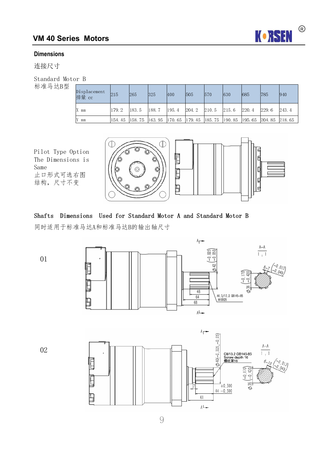

#### **Dimensions**

连接尺寸

Standard Motor B

标准马达B型

| Displacement<br>排量 cc | 215    | 265    | 325   | 400   | 1505                | 570 | $ 630\rangle$ | 685   | 785           | 940   |
|-----------------------|--------|--------|-------|-------|---------------------|-----|---------------|-------|---------------|-------|
| $ X $ mm              | 179.2  | 183.5  | 188.7 | 195.4 | $ 204.2 $ $ 210.5 $ |     | 215.6         | 220.4 | 229.6         | 243.4 |
| IY.<br>mm             | 154.45 | 158.75 |       |       |                     |     |               |       | 204.85 218.65 |       |

Pilot Type Option The Dimensions is Same 止口形式可选右图 结构,尺寸不变



### Shafts Dimensions Used for Standard Motor A and Standard Motor B

同时适用于标准马达A和标准马达B的输出轴尺寸

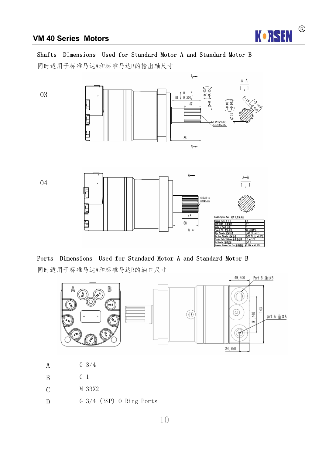

#### Shafts Dimensions Used for Standard Motor A and Standard Motor B

同时适用于标准马达A和标准马达B的输出轴尺寸



#### Ports Dimensions Used for Standard Motor A and Standard Motor B

同时适用于标准马达A和标准马达B的油口尺寸



- A G 3/4
- B G 1
- C M 33X2
- D G 3/4 (BSP) O-Ring Ports